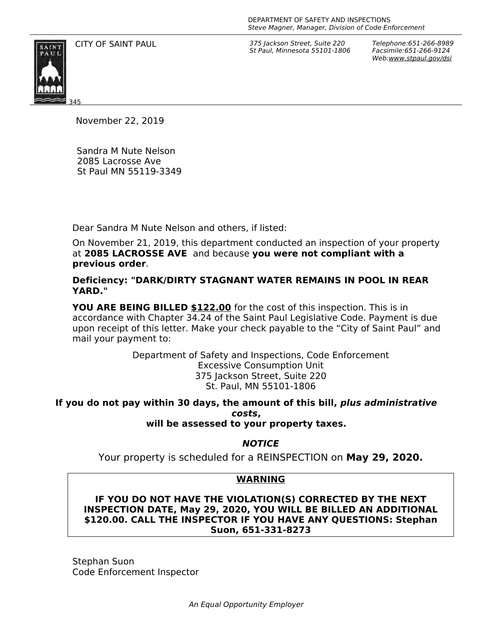

CITY OF SAINT PAUL *375 Jackson Street, Suite 220 St Paul, Minnesota 55101-1806* *Telephone:651-266-8989 Facsimile:651-266-9124 Web:www.stpaul.gov/dsi*

November 22, 2019

Sandra M Nute Nelson 2085 Lacrosse Ave St Paul MN 55119-3349

Dear Sandra M Nute Nelson and others, if listed:

On November 21, 2019, this department conducted an inspection of your property at **2085 LACROSSE AVE** and because **you were not compliant with a previous order**.

**Deficiency: "DARK/DIRTY STAGNANT WATER REMAINS IN POOL IN REAR YARD."**

**YOU ARE BEING BILLED \$122.00** for the cost of this inspection. This is in accordance with Chapter 34.24 of the Saint Paul Legislative Code. Payment is due upon receipt of this letter. Make your check payable to the "City of Saint Paul" and mail your payment to:

> Department of Safety and Inspections, Code Enforcement Excessive Consumption Unit 375 Jackson Street, Suite 220 St. Paul, MN 55101-1806

#### **If you do not pay within 30 days, the amount of this bill,** *plus administrative costs***, will be assessed to your property taxes.**

## *NOTICE*

Your property is scheduled for a REINSPECTION on **May 29, 2020.**

### **WARNING**

**IF YOU DO NOT HAVE THE VIOLATION(S) CORRECTED BY THE NEXT INSPECTION DATE, May 29, 2020, YOU WILL BE BILLED AN ADDITIONAL \$120.00. CALL THE INSPECTOR IF YOU HAVE ANY QUESTIONS: Stephan Suon, 651-331-8273**

Stephan Suon Code Enforcement Inspector